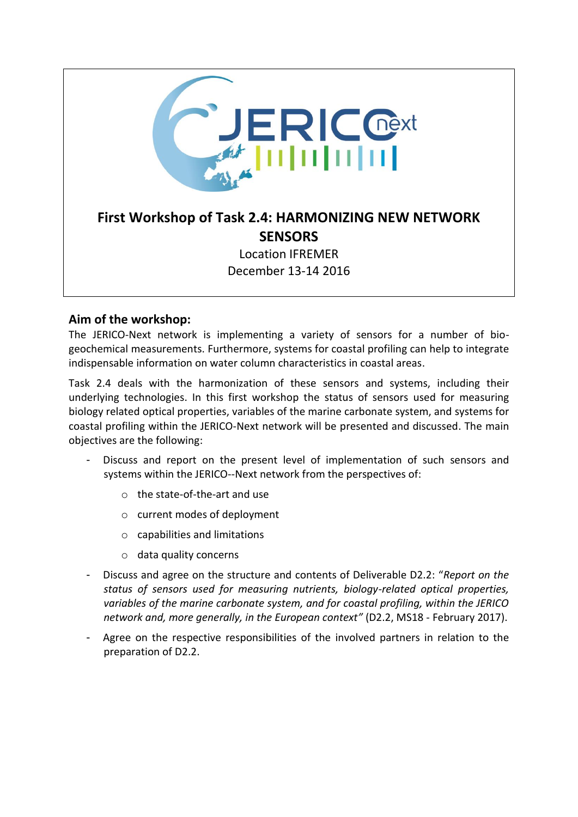

### **Aim of the workshop:**

The JERICO-Next network is implementing a variety of sensors for a number of biogeochemical measurements. Furthermore, systems for coastal profiling can help to integrate indispensable information on water column characteristics in coastal areas.

Task 2.4 deals with the harmonization of these sensors and systems, including their underlying technologies. In this first workshop the status of sensors used for measuring biology related optical properties, variables of the marine carbonate system, and systems for coastal profiling within the JERICO-Next network will be presented and discussed. The main objectives are the following:

- Discuss and report on the present level of implementation of such sensors and systems within the JERICO--Next network from the perspectives of:
	- o the state-of-the-art and use
	- o current modes of deployment
	- o capabilities and limitations
	- o data quality concerns
- Discuss and agree on the structure and contents of Deliverable D2.2: "*Report on the status of sensors used for measuring nutrients, biology-related optical properties, variables of the marine carbonate system, and for coastal profiling, within the JERICO network and, more generally, in the European context"* (D2.2, MS18 - February 2017).
- Agree on the respective responsibilities of the involved partners in relation to the preparation of D2.2.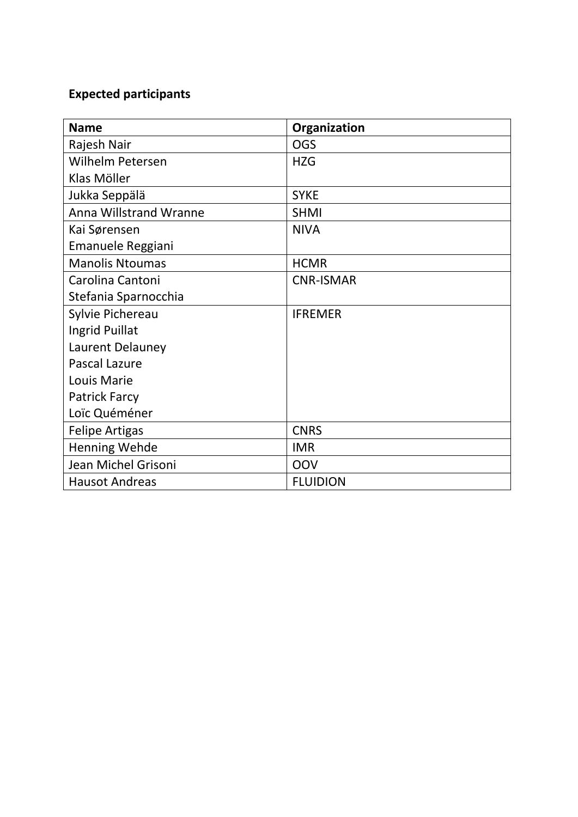# **Expected participants**

| <b>Name</b>                   | Organization     |
|-------------------------------|------------------|
| Rajesh Nair                   | <b>OGS</b>       |
| Wilhelm Petersen              | <b>HZG</b>       |
| Klas Möller                   |                  |
| Jukka Seppälä                 | <b>SYKE</b>      |
| <b>Anna Willstrand Wranne</b> | <b>SHMI</b>      |
| Kai Sørensen                  | <b>NIVA</b>      |
| Emanuele Reggiani             |                  |
| <b>Manolis Ntoumas</b>        | <b>HCMR</b>      |
| Carolina Cantoni              | <b>CNR-ISMAR</b> |
| Stefania Sparnocchia          |                  |
| Sylvie Pichereau              | <b>IFREMER</b>   |
| Ingrid Puillat                |                  |
| Laurent Delauney              |                  |
| <b>Pascal Lazure</b>          |                  |
| Louis Marie                   |                  |
| <b>Patrick Farcy</b>          |                  |
| Loïc Quéméner                 |                  |
| <b>Felipe Artigas</b>         | <b>CNRS</b>      |
| <b>Henning Wehde</b>          | <b>IMR</b>       |
| Jean Michel Grisoni           | OOV              |
| <b>Hausot Andreas</b>         | <b>FLUIDION</b>  |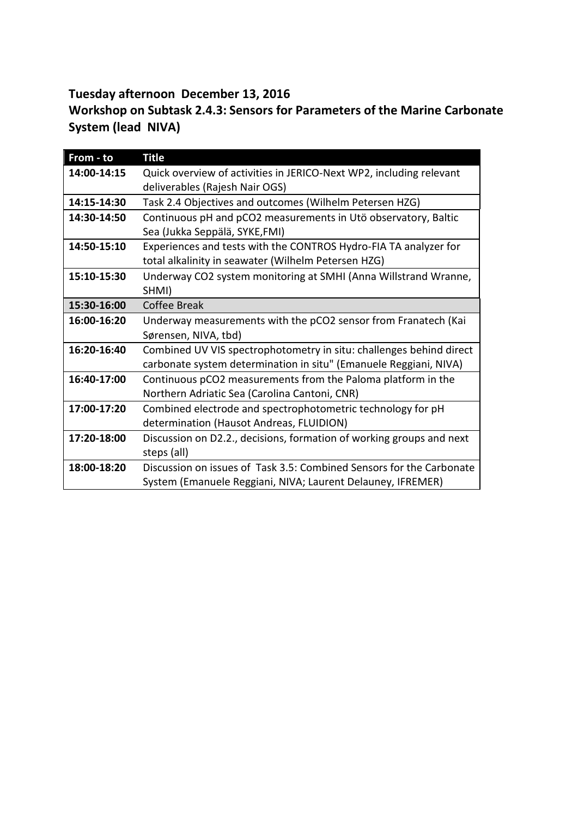# **Tuesday afternoon December 13, 2016**

## **Workshop on Subtask 2.4.3: Sensors for Parameters of the Marine Carbonate System (lead NIVA)**

| From - to   | <b>Title</b>                                                         |
|-------------|----------------------------------------------------------------------|
| 14:00-14:15 | Quick overview of activities in JERICO-Next WP2, including relevant  |
|             | deliverables (Rajesh Nair OGS)                                       |
| 14:15-14:30 | Task 2.4 Objectives and outcomes (Wilhelm Petersen HZG)              |
| 14:30-14:50 | Continuous pH and pCO2 measurements in Utö observatory, Baltic       |
|             | Sea (Jukka Seppälä, SYKE, FMI)                                       |
| 14:50-15:10 | Experiences and tests with the CONTROS Hydro-FIA TA analyzer for     |
|             | total alkalinity in seawater (Wilhelm Petersen HZG)                  |
| 15:10-15:30 | Underway CO2 system monitoring at SMHI (Anna Willstrand Wranne,      |
|             | SHMI)                                                                |
| 15:30-16:00 | <b>Coffee Break</b>                                                  |
| 16:00-16:20 | Underway measurements with the pCO2 sensor from Franatech (Kai       |
|             | Sørensen, NIVA, tbd)                                                 |
| 16:20-16:40 | Combined UV VIS spectrophotometry in situ: challenges behind direct  |
|             | carbonate system determination in situ" (Emanuele Reggiani, NIVA)    |
| 16:40-17:00 | Continuous pCO2 measurements from the Paloma platform in the         |
|             | Northern Adriatic Sea (Carolina Cantoni, CNR)                        |
| 17:00-17:20 | Combined electrode and spectrophotometric technology for pH          |
|             | determination (Hausot Andreas, FLUIDION)                             |
| 17:20-18:00 | Discussion on D2.2., decisions, formation of working groups and next |
|             | steps (all)                                                          |
| 18:00-18:20 | Discussion on issues of Task 3.5: Combined Sensors for the Carbonate |
|             | System (Emanuele Reggiani, NIVA; Laurent Delauney, IFREMER)          |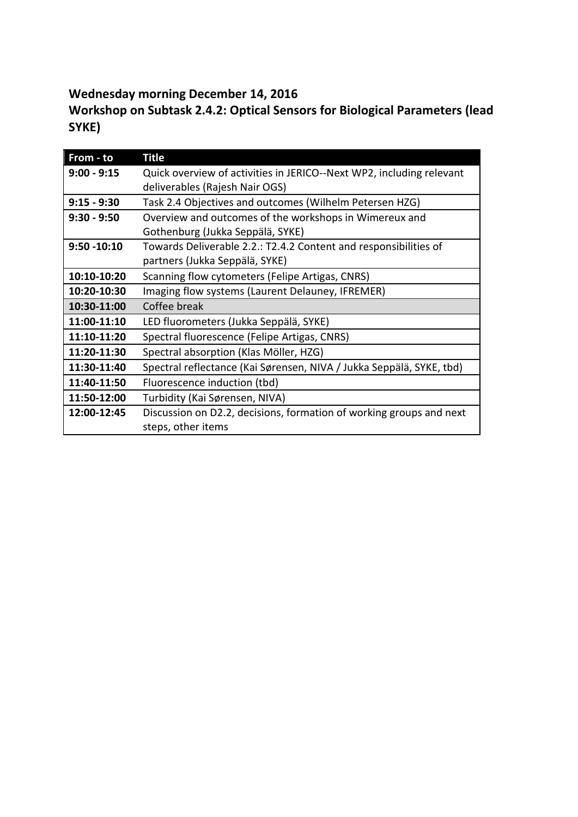# **Wednesday morning December 14, 2016**

**Workshop on Subtask 2.4.2: Optical Sensors for Biological Parameters (lead SYKE)**

| From - to      | <b>Title</b>                                                         |
|----------------|----------------------------------------------------------------------|
| $9:00 - 9:15$  | Quick overview of activities in JERICO--Next WP2, including relevant |
|                | deliverables (Rajesh Nair OGS)                                       |
| $9:15 - 9:30$  | Task 2.4 Objectives and outcomes (Wilhelm Petersen HZG)              |
| $9:30 - 9:50$  | Overview and outcomes of the workshops in Wimereux and               |
|                | Gothenburg (Jukka Seppälä, SYKE)                                     |
| $9:50 - 10:10$ | Towards Deliverable 2.2.: T2.4.2 Content and responsibilities of     |
|                | partners (Jukka Seppälä, SYKE)                                       |
| 10:10-10:20    | Scanning flow cytometers (Felipe Artigas, CNRS)                      |
| 10:20-10:30    | Imaging flow systems (Laurent Delauney, IFREMER)                     |
| 10:30-11:00    | Coffee break                                                         |
| 11:00-11:10    | LED fluorometers (Jukka Seppälä, SYKE)                               |
| 11:10-11:20    | Spectral fluorescence (Felipe Artigas, CNRS)                         |
| 11:20-11:30    | Spectral absorption (Klas Möller, HZG)                               |
| 11:30-11:40    | Spectral reflectance (Kai Sørensen, NIVA / Jukka Seppälä, SYKE, tbd) |
| 11:40-11:50    | Fluorescence induction (tbd)                                         |
| 11:50-12:00    | Turbidity (Kai Sørensen, NIVA)                                       |
| 12:00-12:45    | Discussion on D2.2, decisions, formation of working groups and next  |
|                | steps, other items                                                   |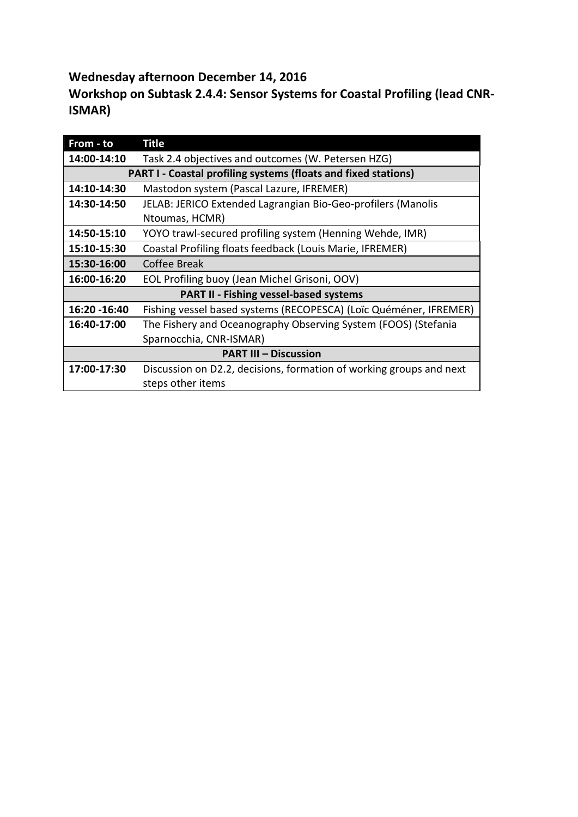**Wednesday afternoon December 14, 2016**

**Workshop on Subtask 2.4.4: Sensor Systems for Coastal Profiling (lead CNR-ISMAR)**

| From - to                                                             | Title                                                               |  |
|-----------------------------------------------------------------------|---------------------------------------------------------------------|--|
| 14:00-14:10                                                           | Task 2.4 objectives and outcomes (W. Petersen HZG)                  |  |
| <b>PART I - Coastal profiling systems (floats and fixed stations)</b> |                                                                     |  |
| 14:10-14:30                                                           | Mastodon system (Pascal Lazure, IFREMER)                            |  |
| 14:30-14:50                                                           | JELAB: JERICO Extended Lagrangian Bio-Geo-profilers (Manolis        |  |
|                                                                       | Ntoumas, HCMR)                                                      |  |
| 14:50-15:10                                                           | YOYO trawl-secured profiling system (Henning Wehde, IMR)            |  |
| 15:10-15:30                                                           | Coastal Profiling floats feedback (Louis Marie, IFREMER)            |  |
| 15:30-16:00                                                           | Coffee Break                                                        |  |
| 16:00-16:20                                                           | EOL Profiling buoy (Jean Michel Grisoni, OOV)                       |  |
| <b>PART II - Fishing vessel-based systems</b>                         |                                                                     |  |
| 16:20 - 16:40                                                         | Fishing vessel based systems (RECOPESCA) (Loïc Quéméner, IFREMER)   |  |
| 16:40-17:00                                                           | The Fishery and Oceanography Observing System (FOOS) (Stefania      |  |
|                                                                       | Sparnocchia, CNR-ISMAR)                                             |  |
| <b>PART III - Discussion</b>                                          |                                                                     |  |
| 17:00-17:30                                                           | Discussion on D2.2, decisions, formation of working groups and next |  |
|                                                                       | steps other items                                                   |  |